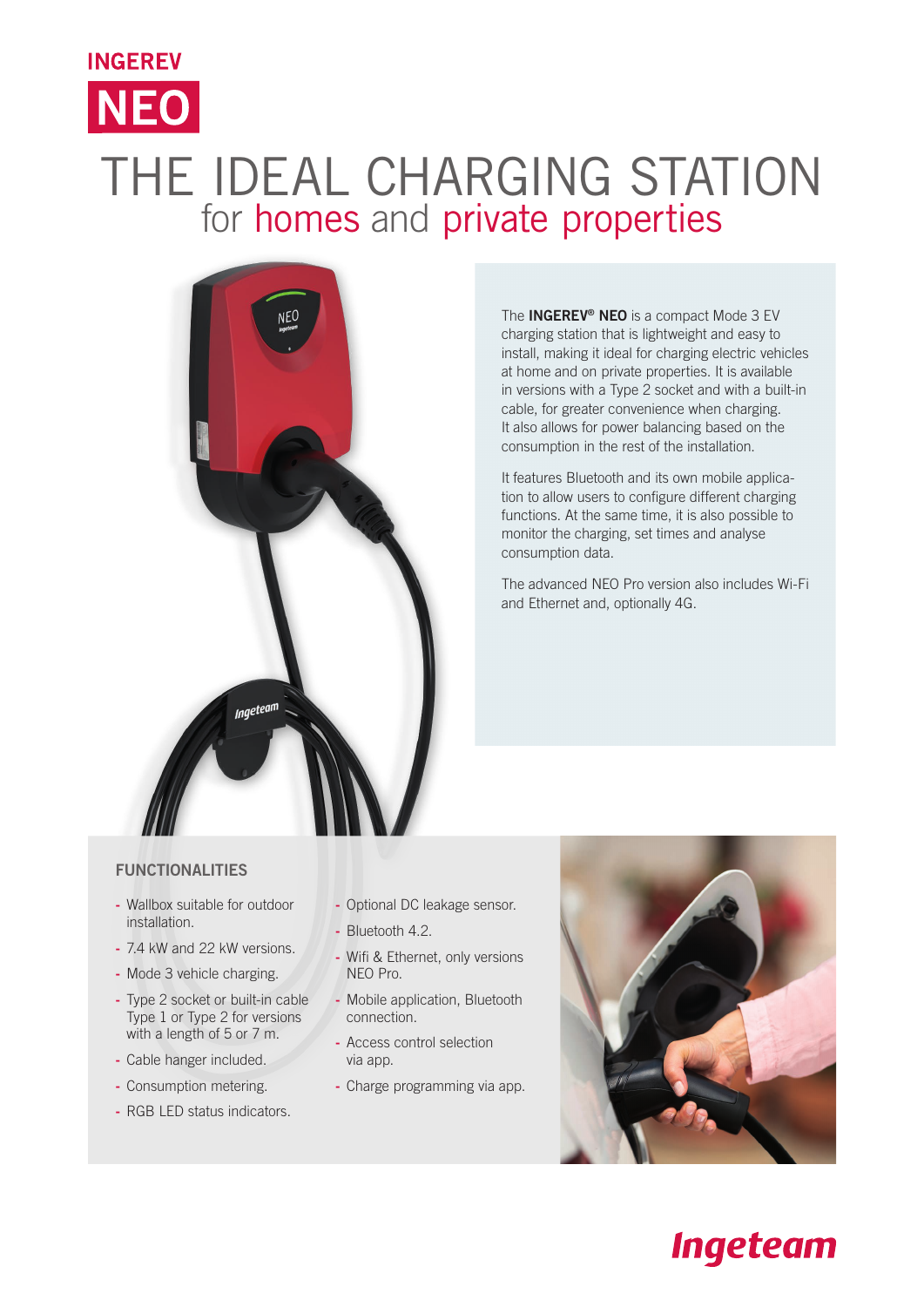## THE IDEAL CHARGING STATION for homes and private properties



The **INGEREV<sup>®</sup> NEO** is a compact Mode 3 EV charging station that is lightweight and easy to install, making it ideal for charging electric vehicles at home and on private properties. It is available in versions with a Type 2 socket and with a built-in cable, for greater convenience when charging. It also allows for power balancing based on the consumption in the rest of the installation.

It features Bluetooth and its own mobile application to allow users to configure different charging functions. At the same time, it is also possible to monitor the charging, set times and analyse consumption data.

The advanced NEO Pro version also includes Wi-Fi and Ethernet and, optionally 4G.

## FUNCTIONALITIES

**INGEREV** 

**NEO** 

- Wallbox suitable for outdoor installation.
- 7.4 kW and 22 kW versions.
- Mode 3 vehicle charging.
- Type 2 socket or built-in cable Type 1 or Type 2 for versions with a length of 5 or 7 m.
- Cable hanger included.
- Consumption metering.
- RGB LED status indicators.
- Optional DC leakage sensor.
- Bluetooth 4.2.
- Wifi & Ethernet, only versions NEO Pro.
- Mobile application, Bluetooth connection.
- Access control selection via app.
- Charge programming via app.



## **Ingeteam**